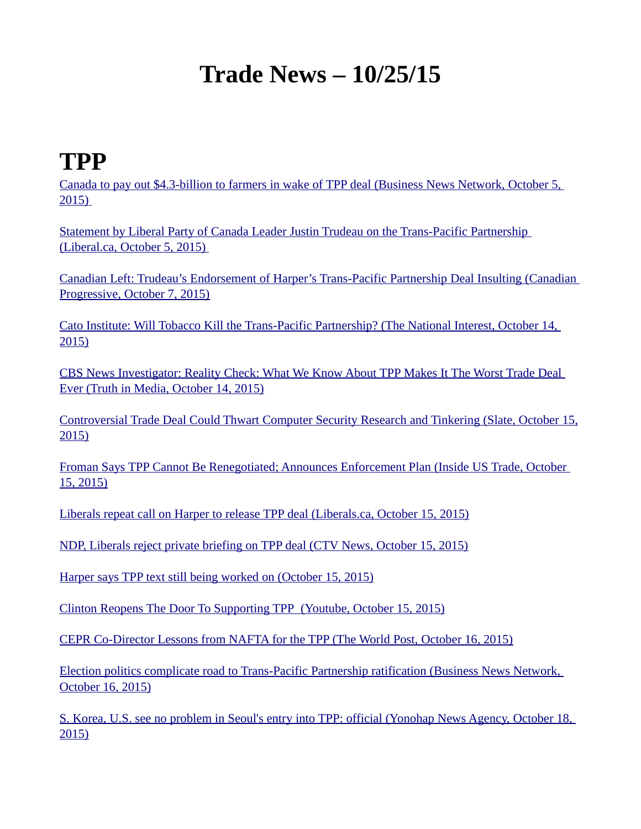#### **Trade News – 10/25/15**

#### **TPP**

[Canada to pay out \\$4.3-billion to farmers in wake of TPP deal \(Business News Network, October 5,](http://www.bnn.ca/News/2015/10/5/Canada-11-other-countries-on-cusp-of-TPP-trade-deal.aspx#.ViXHy5nUhsk.twitter)   [2015\)](http://www.bnn.ca/News/2015/10/5/Canada-11-other-countries-on-cusp-of-TPP-trade-deal.aspx#.ViXHy5nUhsk.twitter)

[Statement by Liberal Party of Canada Leader Justin Trudeau on the Trans-Pacific Partnership](https://www.liberal.ca/statement-by-liberal-party-of-canada-leader-justin-trudeau-on-the-trans-pacific-partnership/#0)  [\(Liberal.ca, October 5, 2015\)](https://www.liberal.ca/statement-by-liberal-party-of-canada-leader-justin-trudeau-on-the-trans-pacific-partnership/#0) 

[Canadian Left: Trudeau's Endorsement of Harper's Trans-Pacific Partnership Deal Insulting \(Canadian](http://www.canadianprogressiveworld.com/2015/10/07/trudeaus-endorsement-of-harpers-trans-pacific-partnership-deal-insulting/)  [Progressive, October 7, 2015\)](http://www.canadianprogressiveworld.com/2015/10/07/trudeaus-endorsement-of-harpers-trans-pacific-partnership-deal-insulting/)

[Cato Institute: Will Tobacco Kill the Trans-Pacific Partnership? \(The National Interest, October 14,](http://nationalinterest.org/feature/will-tobacco-kill-the-trans-pacific-partnership-14066)  [2015\)](http://nationalinterest.org/feature/will-tobacco-kill-the-trans-pacific-partnership-14066)

[CBS News Investigator: Reality Check: What We Know About TPP Makes It The Worst Trade Deal](http://truthinmedia.com/reality-check-what-we-know-about-tpp-makes-it-the-worst-trade-deal-ever/)  [Ever \(Truth in Media, October 14, 2015\)](http://truthinmedia.com/reality-check-what-we-know-about-tpp-makes-it-the-worst-trade-deal-ever/)

[Controversial Trade Deal Could Thwart Computer Security Research and Tinkering \(Slate, October 15,](http://www.slate.com/blogs/future_tense/2015/10/15/trans_pacific_partnership_could_thwart_computer_security_research_and_tinkering.html) [2015\)](http://www.slate.com/blogs/future_tense/2015/10/15/trans_pacific_partnership_could_thwart_computer_security_research_and_tinkering.html)

[Froman Says TPP Cannot Be Renegotiated; Announces Enforcement Plan \(Inside US Trade, October](http://wetlands-preserve.org/phpUpload/uploads/FromIUST.pdf)  [15, 2015\)](http://wetlands-preserve.org/phpUpload/uploads/FromIUST.pdf)

[Liberals repeat call on Harper to release TPP deal \(Liberals.ca, October 15, 2015\)](https://www.liberal.ca/liberals-repeat-call-on-harper-to-release-tpp-deal/)

[NDP, Liberals reject private briefing on TPP deal \(CTV News, October 15, 2015\)](http://www.ctvnews.ca/politics/election/ndp-liberals-reject-private-briefing-on-tpp-deal-1.2612137)

[Harper says TPP text still being worked on \(October 15, 2015\)](https://ipolitics.ca/2015/10/15/harper-says-tpp-text-still-being-worked-on/)

 [Clinton Reopens The Door To Supporting TPP \(Youtube, October 15, 2015\)](https://www.youtube.com/watch?v=GThtheMFV-8)

[CEPR Co-Director Lessons from NAFTA for the TPP \(The World Post, October 16, 2015\)](http://www.huffingtonpost.com/mark-weisbrot/lessons-from-nafta-for-th_b_8315512.html)

[Election politics complicate road to Trans-Pacific Partnership ratification \(Business News Network,](http://www.bnn.ca/News/2015/10/16/Election-politics-complicates-road-to-TPP-ratification.aspx#.ViXHJg4QR6Q.twitter)  [October 16, 2015\)](http://www.bnn.ca/News/2015/10/16/Election-politics-complicates-road-to-TPP-ratification.aspx#.ViXHJg4QR6Q.twitter)

[S. Korea, U.S. see no problem in Seoul's entry into TPP: official \(Yonohap News Agency, October 18,](http://english.yonhapnews.co.kr/business/2015/10/18/0503000000AEN20151018003800315.html)  [2015\)](http://english.yonhapnews.co.kr/business/2015/10/18/0503000000AEN20151018003800315.html)